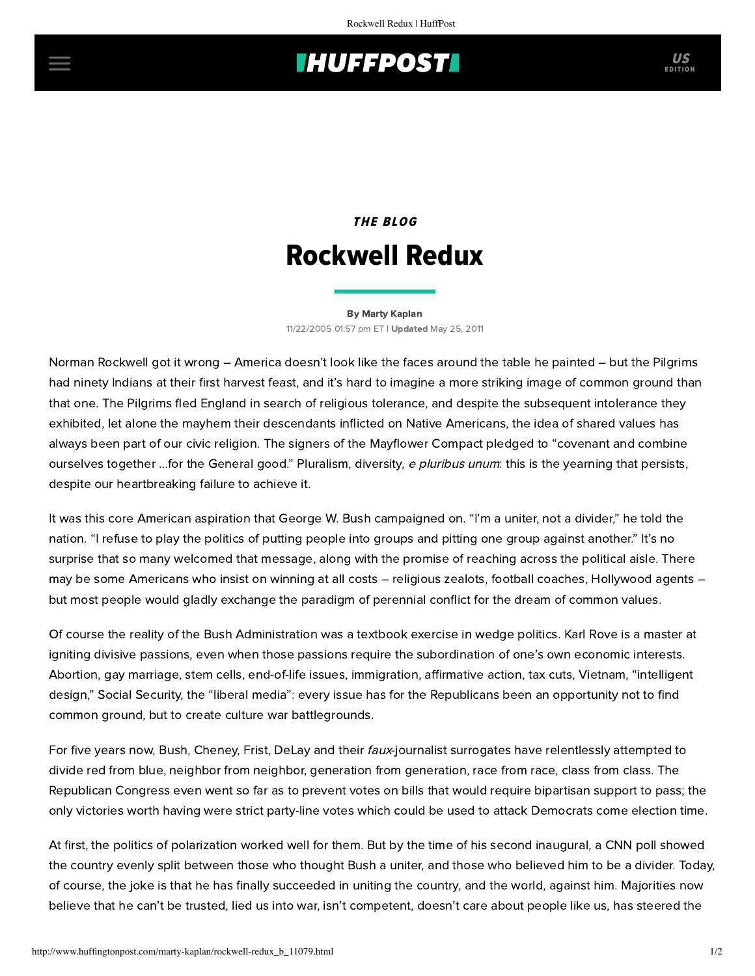# **IHUFFPOSTI** US

## THE BLOG Rockwell Redux

#### [By Marty Kaplan](http://www.huffingtonpost.com/author/marty-kaplan) 11/22/2005 01:57 pm ET | Updated May 25, 2011

Norman Rockwell got it wrong – America doesn't look like the faces around the table he painted – but the Pilgrims had ninety Indians at their first harvest feast, and it's hard to imagine a more striking image of common ground than that one. The Pilgrims fled England in search of religious tolerance, and despite the subsequent intolerance they exhibited, let alone the mayhem their descendants inflicted on Native Americans, the idea of shared values has always been part of our civic religion. The signers of the Mayflower Compact pledged to "covenant and combine ourselves together ...for the General good." Pluralism, diversity, e pluribus unum: this is the yearning that persists, despite our heartbreaking failure to achieve it.

It was this core American aspiration that George W. Bush campaigned on. "I'm a uniter, not a divider," he told the nation. "I refuse to play the politics of putting people into groups and pitting one group against another." It's no surprise that so many welcomed that message, along with the promise of reaching across the political aisle. There may be some Americans who insist on winning at all costs – religious zealots, football coaches, Hollywood agents – but most people would gladly exchange the paradigm of perennial conflict for the dream of common values.

Of course the reality of the Bush Administration was a textbook exercise in wedge politics. Karl Rove is a master at igniting divisive passions, even when those passions require the subordination of one's own economic interests. Abortion, gay marriage, stem cells, end-of-life issues, immigration, affirmative action, tax cuts, Vietnam, "intelligent design," Social Security, the "liberal media": every issue has for the Republicans been an opportunity not to find common ground, but to create culture war battlegrounds.

For five years now, Bush, Cheney, Frist, DeLay and their faux-journalist surrogates have relentlessly attempted to divide red from blue, neighbor from neighbor, generation from generation, race from race, class from class. The Republican Congress even went so far as to prevent votes on bills that would require bipartisan support to pass; the only victories worth having were strict party-line votes which could be used to attack Democrats come election time.

At first, the politics of polarization worked well for them. But by the time of his second inaugural, a CNN poll showed the country evenly split between those who thought Bush a uniter, and those who believed him to be a divider. Today, of course, the joke is that he has finally succeeded in uniting the country, and the world, against him. Majorities now believe that he can't be trusted, lied us into war, isn't competent, doesn't care about people like us, has steered the